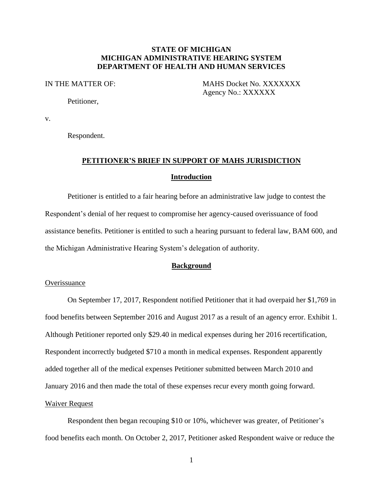## **STATE OF MICHIGAN MICHIGAN ADMINISTRATIVE HEARING SYSTEM DEPARTMENT OF HEALTH AND HUMAN SERVICES**

IN THE MATTER OF: MAHS Docket No. XXXXXXX Agency No.: XXXXXX

Petitioner,

v.

Respondent.

# **PETITIONER'S BRIEF IN SUPPORT OF MAHS JURISDICTION Introduction**

Petitioner is entitled to a fair hearing before an administrative law judge to contest the Respondent's denial of her request to compromise her agency-caused overissuance of food assistance benefits. Petitioner is entitled to such a hearing pursuant to federal law, BAM 600, and the Michigan Administrative Hearing System's delegation of authority.

### **Background**

### **Overissuance**

On September 17, 2017, Respondent notified Petitioner that it had overpaid her \$1,769 in food benefits between September 2016 and August 2017 as a result of an agency error. Exhibit 1. Although Petitioner reported only \$29.40 in medical expenses during her 2016 recertification, Respondent incorrectly budgeted \$710 a month in medical expenses. Respondent apparently added together all of the medical expenses Petitioner submitted between March 2010 and January 2016 and then made the total of these expenses recur every month going forward. Waiver Request

Respondent then began recouping \$10 or 10%, whichever was greater, of Petitioner's food benefits each month. On October 2, 2017, Petitioner asked Respondent waive or reduce the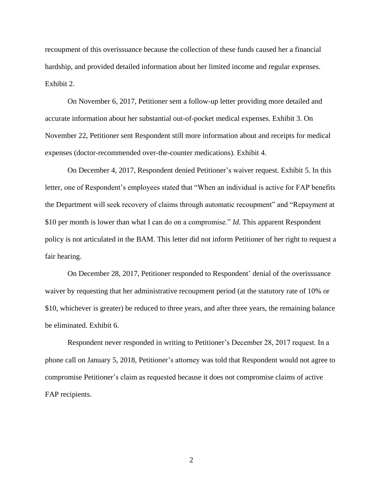recoupment of this overissuance because the collection of these funds caused her a financial hardship, and provided detailed information about her limited income and regular expenses. Exhibit 2.

On November 6, 2017, Petitioner sent a follow-up letter providing more detailed and accurate information about her substantial out-of-pocket medical expenses. Exhibit 3. On November 22, Petitioner sent Respondent still more information about and receipts for medical expenses (doctor-recommended over-the-counter medications). Exhibit 4.

On December 4, 2017, Respondent denied Petitioner's waiver request. Exhibit 5. In this letter, one of Respondent's employees stated that "When an individual is active for FAP benefits the Department will seek recovery of claims through automatic recoupment" and "Repayment at \$10 per month is lower than what I can do on a compromise." *Id*. This apparent Respondent policy is not articulated in the BAM. This letter did not inform Petitioner of her right to request a fair hearing.

On December 28, 2017, Petitioner responded to Respondent' denial of the overissuance waiver by requesting that her administrative recoupment period (at the statutory rate of 10% or \$10, whichever is greater) be reduced to three years, and after three years, the remaining balance be eliminated. Exhibit 6.

Respondent never responded in writing to Petitioner's December 28, 2017 request. In a phone call on January 5, 2018, Petitioner's attorney was told that Respondent would not agree to compromise Petitioner's claim as requested because it does not compromise claims of active FAP recipients.

2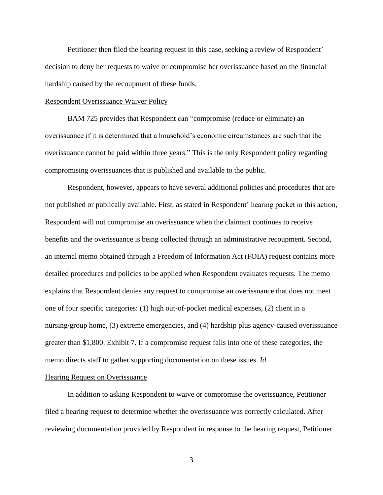Petitioner then filed the hearing request in this case, seeking a review of Respondent' decision to deny her requests to waive or compromise her overissuance based on the financial hardship caused by the recoupment of these funds.

#### Respondent Overissuance Waiver Policy

BAM 725 provides that Respondent can "compromise (reduce or eliminate) an overissuance if it is determined that a household's economic circumstances are such that the overissuance cannot be paid within three years." This is the only Respondent policy regarding compromising overissuances that is published and available to the public.

Respondent, however, appears to have several additional policies and procedures that are not published or publically available. First, as stated in Respondent' hearing packet in this action, Respondent will not compromise an overissuance when the claimant continues to receive benefits and the overissuance is being collected through an administrative recoupment. Second, an internal memo obtained through a Freedom of Information Act (FOIA) request contains more detailed procedures and policies to be applied when Respondent evaluates requests. The memo explains that Respondent denies any request to compromise an overissuance that does not meet one of four specific categories: (1) high out-of-pocket medical expenses, (2) client in a nursing/group home, (3) extreme emergencies, and (4) hardship plus agency-caused overissuance greater than \$1,800. Exhibit 7. If a compromise request falls into one of these categories, the memo directs staff to gather supporting documentation on these issues. *Id.*

#### Hearing Request on Overissuance

In addition to asking Respondent to waive or compromise the overissuance, Petitioner filed a hearing request to determine whether the overissuance was correctly calculated. After reviewing documentation provided by Respondent in response to the hearing request, Petitioner

3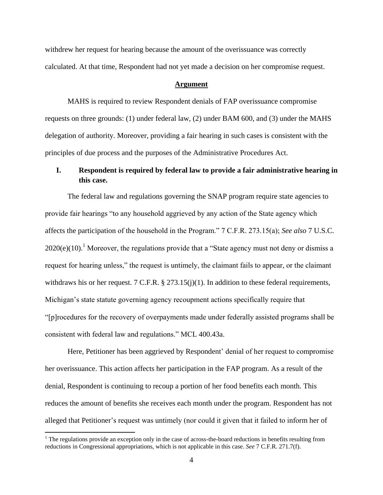withdrew her request for hearing because the amount of the overissuance was correctly calculated. At that time, Respondent had not yet made a decision on her compromise request.

#### **Argument**

MAHS is required to review Respondent denials of FAP overissuance compromise requests on three grounds: (1) under federal law, (2) under BAM 600, and (3) under the MAHS delegation of authority. Moreover, providing a fair hearing in such cases is consistent with the principles of due process and the purposes of the Administrative Procedures Act.

# **I. Respondent is required by federal law to provide a fair administrative hearing in this case.**

The federal law and regulations governing the SNAP program require state agencies to provide fair hearings "to any household aggrieved by any action of the State agency which affects the participation of the household in the Program." 7 C.F.R. 273.15(a); *See also* 7 U.S.C.  $2020(e)(10).$ <sup>1</sup> Moreover, the regulations provide that a "State agency must not deny or dismiss a request for hearing unless," the request is untimely, the claimant fails to appear, or the claimant withdraws his or her request. 7 C.F.R. § 273.15(j)(1). In addition to these federal requirements, Michigan's state statute governing agency recoupment actions specifically require that "[p]rocedures for the recovery of overpayments made under federally assisted programs shall be consistent with federal law and regulations." MCL 400.43a.

Here, Petitioner has been aggrieved by Respondent' denial of her request to compromise her overissuance. This action affects her participation in the FAP program. As a result of the denial, Respondent is continuing to recoup a portion of her food benefits each month. This reduces the amount of benefits she receives each month under the program. Respondent has not alleged that Petitioner's request was untimely (nor could it given that it failed to inform her of

 $\overline{a}$ 

 $1$ <sup>1</sup> The regulations provide an exception only in the case of across-the-board reductions in benefits resulting from reductions in Congressional appropriations, which is not applicable in this case. *See* 7 C.F.R. 271.7(f).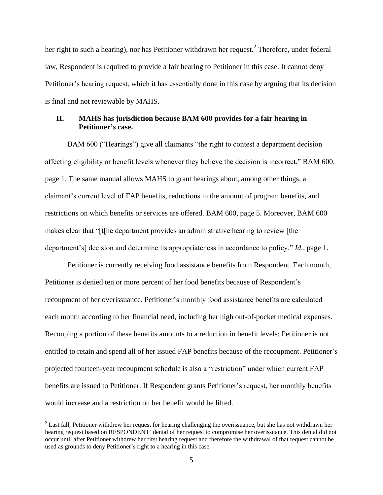her right to such a hearing), nor has Petitioner withdrawn her request.<sup>2</sup> Therefore, under federal law, Respondent is required to provide a fair hearing to Petitioner in this case. It cannot deny Petitioner's hearing request, which it has essentially done in this case by arguing that its decision is final and not reviewable by MAHS.

# **II. MAHS has jurisdiction because BAM 600 provides for a fair hearing in Petitioner's case.**

BAM 600 ("Hearings") give all claimants "the right to contest a department decision affecting eligibility or benefit levels whenever they believe the decision is incorrect." BAM 600, page 1. The same manual allows MAHS to grant hearings about, among other things, a claimant's current level of FAP benefits, reductions in the amount of program benefits, and restrictions on which benefits or services are offered. BAM 600, page 5. Moreover, BAM 600 makes clear that "[t[he department provides an administrative hearing to review [the department's] decision and determine its appropriateness in accordance to policy." *Id.*, page 1.

Petitioner is currently receiving food assistance benefits from Respondent. Each month, Petitioner is denied ten or more percent of her food benefits because of Respondent's recoupment of her overissuance. Petitioner's monthly food assistance benefits are calculated each month according to her financial need, including her high out-of-pocket medical expenses. Recouping a portion of these benefits amounts to a reduction in benefit levels; Petitioner is not entitled to retain and spend all of her issued FAP benefits because of the recoupment. Petitioner's projected fourteen-year recoupment schedule is also a "restriction" under which current FAP benefits are issued to Petitioner. If Respondent grants Petitioner's request, her monthly benefits would increase and a restriction on her benefit would be lifted.

 $\overline{\phantom{a}}$ 

<sup>&</sup>lt;sup>2</sup> Last fall, Petitioner withdrew her request for hearing challenging the overissuance, but she has not withdrawn her hearing request based on RESPONDENT' denial of her request to compromise her overissuance. This denial did not occur until after Petitioner withdrew her first hearing request and therefore the withdrawal of that request cannot be used as grounds to deny Petitioner's right to a hearing in this case.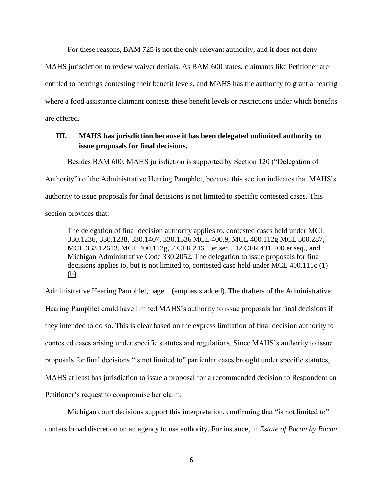For these reasons, BAM 725 is not the only relevant authority, and it does not deny

MAHS jurisdiction to review waiver denials. As BAM 600 states, claimants like Petitioner are entitled to hearings contesting their benefit levels, and MAHS has the authority to grant a hearing where a food assistance claimant contests these benefit levels or restrictions under which benefits are offered.

# **III. MAHS has jurisdiction because it has been delegated unlimited authority to issue proposals for final decisions.**

Besides BAM 600, MAHS jurisdiction is supported by Section 120 ("Delegation of

Authority") of the Administrative Hearing Pamphlet, because this section indicates that MAHS's

authority to issue proposals for final decisions is not limited to specific contested cases. This

section provides that:

The delegation of final decision authority applies to, contested cases held under MCL 330.1236, 330.1238, 330.1407, 330.1536 MCL 400.9, MCL 400.112g MCL 500.287, MCL 333.12613, MCL 400.112g, 7 CFR 246.1 et seq., 42 CFR 431.200 et seq., and Michigan Administrative Code 330.2052. The delegation to issue proposals for final decisions applies to, but is not limited to, contested case held under MCL 400.111c (1) (b).

Administrative Hearing Pamphlet, page 1 (emphasis added). The drafters of the Administrative Hearing Pamphlet could have limited MAHS's authority to issue proposals for final decisions if they intended to do so. This is clear based on the express limitation of final decision authority to contested cases arising under specific statutes and regulations. Since MAHS's authority to issue proposals for final decisions "is not limited to" particular cases brought under specific statutes, MAHS at least has jurisdiction to issue a proposal for a recommended decision to Respondent on Petitioner's request to compromise her claim.

Michigan court decisions support this interpretation, confirming that "is not limited to" confers broad discretion on an agency to use authority. For instance, in *Estate of Bacon by Bacon*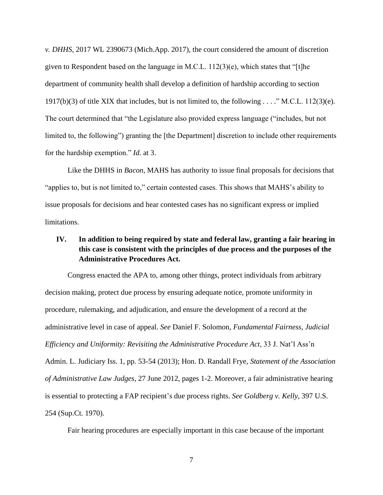*v. DHHS*, 2017 WL 2390673 (Mich.App. 2017), the court considered the amount of discretion given to Respondent based on the language in M.C.L.  $112(3)(e)$ , which states that "[t]he department of community health shall develop a definition of hardship according to section 1917(b)(3) of title XIX that includes, but is not limited to, the following . . . ." M.C.L. 112(3)(e). The court determined that "the Legislature also provided express language ("includes, but not limited to, the following") granting the [the Department] discretion to include other requirements for the hardship exemption." *Id.* at 3.

Like the DHHS in *Bacon*, MAHS has authority to issue final proposals for decisions that "applies to, but is not limited to," certain contested cases. This shows that MAHS's ability to issue proposals for decisions and hear contested cases has no significant express or implied limitations.

# **IV. In addition to being required by state and federal law, granting a fair hearing in this case is consistent with the principles of due process and the purposes of the Administrative Procedures Act.**

Congress enacted the APA to, among other things, protect individuals from arbitrary decision making, protect due process by ensuring adequate notice, promote uniformity in procedure, rulemaking, and adjudication, and ensure the development of a record at the administrative level in case of appeal. *See* Daniel F. Solomon, *Fundamental Fairness, Judicial Efficiency and Uniformity: Revisiting the Administrative Procedure Act*, 33 J. Nat'l Ass'n Admin. L. Judiciary Iss. 1, pp. 53-54 (2013); Hon. D. Randall Frye, *Statement of the Association of Administrative Law Judges*, 27 June 2012, pages 1-2. Moreover, a fair administrative hearing is essential to protecting a FAP recipient's due process rights. *See Goldberg v. Kelly,* 397 U.S. 254 (Sup.Ct. 1970).

Fair hearing procedures are especially important in this case because of the important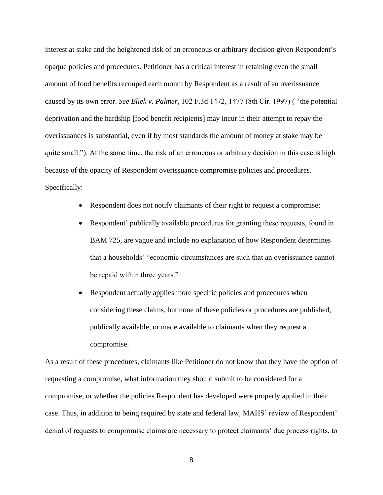interest at stake and the heightened risk of an erroneous or arbitrary decision given Respondent's opaque policies and procedures. Petitioner has a critical interest in retaining even the small amount of food benefits recouped each month by Respondent as a result of an overissuance caused by its own error. *See Bliek v. Palmer*, 102 F.3d 1472, 1477 (8th Cir. 1997) ( "the potential deprivation and the hardship [food benefit recipients] may incur in their attempt to repay the overissuances is substantial, even if by most standards the amount of money at stake may be quite small."). At the same time, the risk of an erroneous or arbitrary decision in this case is high because of the opacity of Respondent overissuance compromise policies and procedures. Specifically:

- Respondent does not notify claimants of their right to request a compromise;
- Respondent' publically available procedures for granting these requests, found in BAM 725, are vague and include no explanation of how Respondent determines that a households' "economic circumstances are such that an overissuance cannot be repaid within three years."
- Respondent actually applies more specific policies and procedures when considering these claims, but none of these policies or procedures are published, publically available, or made available to claimants when they request a compromise.

As a result of these procedures, claimants like Petitioner do not know that they have the option of requesting a compromise, what information they should submit to be considered for a compromise, or whether the policies Respondent has developed were properly applied in their case. Thus, in addition to being required by state and federal law, MAHS' review of Respondent' denial of requests to compromise claims are necessary to protect claimants' due process rights, to

8